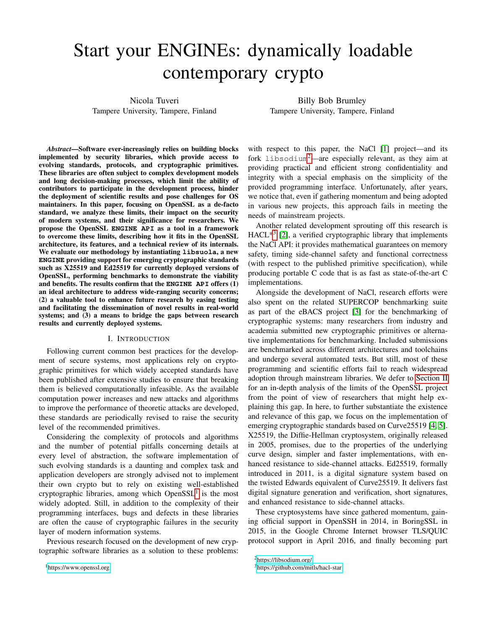# Start your ENGINEs: dynamically loadable contemporary crypto

Nicola Tuveri Tampere University, Tampere, Finland

Billy Bob Brumley Tampere University, Tampere, Finland

*Abstract*—Software ever-increasingly relies on building blocks implemented by security libraries, which provide access to evolving standards, protocols, and cryptographic primitives. These libraries are often subject to complex development models and long decision-making processes, which limit the ability of contributors to participate in the development process, hinder the deployment of scientific results and pose challenges for OS maintainers. In this paper, focusing on OpenSSL as a de-facto standard, we analyze these limits, their impact on the security of modern systems, and their significance for researchers. We propose the OpenSSL **ENGINE API** as a tool in a framework to overcome these limits, describing how it fits in the OpenSSL architecture, its features, and a technical review of its internals. We evaluate our methodology by instantiating **libsuola**, a new **ENGINE** providing support for emerging cryptographic standards such as X25519 and Ed25519 for currently deployed versions of OpenSSL, performing benchmarks to demonstrate the viability and benefits. The results confirm that the **ENGINE API** offers (1) an ideal architecture to address wide-ranging security concerns; (2) a valuable tool to enhance future research by easing testing and facilitating the dissemination of novel results in real-world systems; and (3) a means to bridge the gaps between research results and currently deployed systems.

#### I. INTRODUCTION

<span id="page-0-3"></span>Following current common best practices for the development of secure systems, most applications rely on cryptographic primitives for which widely accepted standards have been published after extensive studies to ensure that breaking them is believed computationally infeasible. As the available computation power increases and new attacks and algorithms to improve the performance of theoretic attacks are developed, these standards are periodically revised to raise the security level of the recommended primitives.

Considering the complexity of protocols and algorithms and the number of potential pitfalls concerning details at every level of abstraction, the software implementation of such evolving standards is a daunting and complex task and application developers are strongly advised not to implement their own crypto but to rely on existing well-established cryptographic libraries, among which  $OpenSSL<sup>1</sup>$  $OpenSSL<sup>1</sup>$  $OpenSSL<sup>1</sup>$  is the most widely adopted. Still, in addition to the complexity of their programming interfaces, bugs and defects in these libraries are often the cause of cryptographic failures in the security layer of modern information systems.

Previous research focused on the development of new cryptographic software libraries as a solution to these problems:

<span id="page-0-0"></span><sup>1</sup><https://www.openssl.org>

with respect to this paper, the NaCl [\[1\]](#page-13-0) project—and its fork libsodium[2](#page-0-1)—are especially relevant, as they aim at providing practical and efficient strong confidentiality and integrity with a special emphasis on the simplicity of the provided programming interface. Unfortunately, after years, we notice that, even if gathering momentum and being adopted in various new projects, this approach fails in meeting the needs of mainstream projects.

Another related development sprouting off this research is  $HACL^{*3}$  $HACL^{*3}$  $HACL^{*3}$  [\[2\]](#page-13-1), a verified cryptographic library that implements the NaCl API: it provides mathematical guarantees on memory safety, timing side-channel safety and functional correctness (with respect to the published primitive specification), while producing portable C code that is as fast as state-of-the-art C implementations.

Alongside the development of NaCl, research efforts were also spent on the related SUPERCOP benchmarking suite as part of the eBACS project [\[3\]](#page-13-2) for the benchmarking of cryptographic systems: many researchers from industry and academia submitted new cryptographic primitives or alternative implementations for benchmarking. Included submissions are benchmarked across different architectures and toolchains and undergo several automated tests. But still, most of these programming and scientific efforts fail to reach widespread adoption through mainstream libraries. We defer to [Section II](#page-1-0) for an in-depth analysis of the limits of the OpenSSL project from the point of view of researchers that might help explaining this gap. In here, to further substantiate the existence and relevance of this gap, we focus on the implementation of emerging cryptographic standards based on Curve25519 [\[4,](#page-13-3) [5\]](#page-13-4). X25519, the Diffie-Hellman cryptosystem, originally released in 2005, promises, due to the properties of the underlying curve design, simpler and faster implementations, with enhanced resistance to side-channel attacks. Ed25519, formally introduced in 2011, is a digital signature system based on the twisted Edwards equivalent of Curve25519. It delivers fast digital signature generation and verification, short signatures, and enhanced resistance to side-channel attacks.

These cryptosystems have since gathered momentum, gaining official support in OpenSSH in 2014, in BoringSSL in 2015, in the Google Chrome Internet browser TLS/QUIC protocol support in April 2016, and finally becoming part

<span id="page-0-1"></span><sup>2</sup><https://libsodium.org/>

<span id="page-0-2"></span><sup>3</sup><https://github.com/mitls/hacl-star>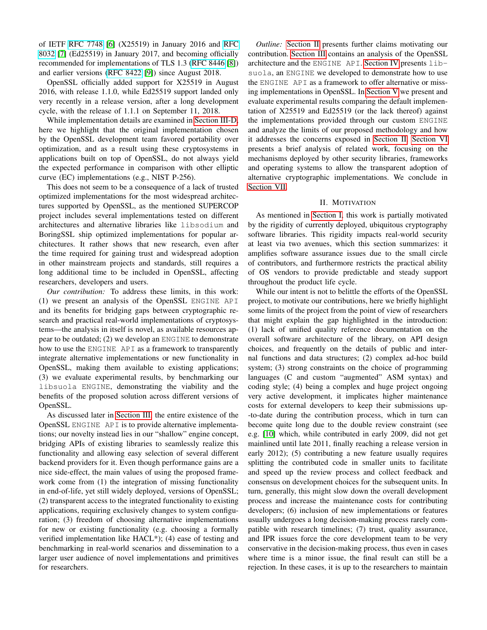of IETF [RFC 7748](https://tools.ietf.org/html/rfc7748) [\[6\]](#page-13-5) (X25519) in January 2016 and [RFC](https://tools.ietf.org/html/rfc8032) [8032](https://tools.ietf.org/html/rfc8032) [\[7\]](#page-13-6) (Ed25519) in January 2017, and becoming officially recommended for implementations of TLS 1.3 [\(RFC 8446](https://tools.ietf.org/html/rfc8446) [\[8\]](#page-13-7)) and earlier versions [\(RFC 8422](https://tools.ietf.org/html/rfc8422) [\[9\]](#page-13-8)) since August 2018.

OpenSSL officially added support for X25519 in August 2016, with release 1.1.0, while Ed25519 support landed only very recently in a release version, after a long development cycle, with the release of 1.1.1 on September 11, 2018.

While implementation details are examined in [Section III-D,](#page-5-0) here we highlight that the original implementation chosen by the OpenSSL development team favored portability over optimization, and as a result using these cryptosystems in applications built on top of OpenSSL, do not always yield the expected performance in comparison with other elliptic curve (EC) implementations (e.g., NIST P-256).

This does not seem to be a consequence of a lack of trusted optimized implementations for the most widespread architectures supported by OpenSSL, as the mentioned SUPERCOP project includes several implementations tested on different architectures and alternative libraries like libsodium and BoringSSL ship optimized implementations for popular architectures. It rather shows that new research, even after the time required for gaining trust and widespread adoption in other mainstream projects and standards, still requires a long additional time to be included in OpenSSL, affecting researchers, developers and users.

*Our contribution:* To address these limits, in this work: (1) we present an analysis of the OpenSSL ENGINE API and its benefits for bridging gaps between cryptographic research and practical real-world implementations of cryptosystems—the analysis in itself is novel, as available resources appear to be outdated; (2) we develop an ENGINE to demonstrate how to use the ENGINE API as a framework to transparently integrate alternative implementations or new functionality in OpenSSL, making them available to existing applications; (3) we evaluate experimental results, by benchmarking our libsuola ENGINE, demonstrating the viability and the benefits of the proposed solution across different versions of OpenSSL.

As discussed later in [Section III,](#page-3-0) the entire existence of the OpenSSL ENGINE API is to provide alternative implementations; our novelty instead lies in our "shallow" engine concept, bridging APIs of existing libraries to seamlessly realize this functionality and allowing easy selection of several different backend providers for it. Even though performance gains are a nice side-effect, the main values of using the proposed framework come from (1) the integration of missing functionality in end-of-life, yet still widely deployed, versions of OpenSSL; (2) transparent access to the integrated functionality to existing applications, requiring exclusively changes to system configuration; (3) freedom of choosing alternative implementations for new or existing functionality (e.g. choosing a formally verified implementation like HACL\*); (4) ease of testing and benchmarking in real-world scenarios and dissemination to a larger user audience of novel implementations and primitives for researchers.

*Outline:* [Section II](#page-1-0) presents further claims motivating our contribution. [Section III](#page-3-0) contains an analysis of the OpenSSL architecture and the ENGINE API. [Section IV](#page-6-0) presents libsuola, an ENGINE we developed to demonstrate how to use the ENGINE API as a framework to offer alternative or missing implementations in OpenSSL. In [Section V](#page-8-0) we present and evaluate experimental results comparing the default implementation of X25519 and Ed25519 (or the lack thereof) against the implementations provided through our custom ENGINE and analyze the limits of our proposed methodology and how it addresses the concerns exposed in [Section II.](#page-1-0) [Section VI](#page-11-0) presents a brief analysis of related work, focusing on the mechanisms deployed by other security libraries, frameworks and operating systems to allow the transparent adoption of alternative cryptographic implementations. We conclude in [Section VII.](#page-12-0)

## II. MOTIVATION

<span id="page-1-0"></span>As mentioned in [Section I,](#page-0-3) this work is partially motivated by the rigidity of currently deployed, ubiquitous cryptography software libraries. This rigidity impacts real-world security at least via two avenues, which this section summarizes: it amplifies software assurance issues due to the small circle of contributors, and furthermore restricts the practical ability of OS vendors to provide predictable and steady support throughout the product life cycle.

While our intent is not to belittle the efforts of the OpenSSL project, to motivate our contributions, here we briefly highlight some limits of the project from the point of view of researchers that might explain the gap highlighted in the introduction: (1) lack of unified quality reference documentation on the overall software architecture of the library, on API design choices, and frequently on the details of public and internal functions and data structures; (2) complex ad-hoc build system; (3) strong constraints on the choice of programming languages (C and custom "augmented" ASM syntax) and coding style; (4) being a complex and huge project ongoing very active development, it implicates higher maintenance costs for external developers to keep their submissions up- -to-date during the contribution process, which in turn can become quite long due to the double review constraint (see e.g. [\[10\]](#page-13-9) which, while contributed in early 2009, did not get mainlined until late 2011, finally reaching a release version in early 2012); (5) contributing a new feature usually requires splitting the contributed code in smaller units to facilitate and speed up the review process and collect feedback and consensus on development choices for the subsequent units. In turn, generally, this might slow down the overall development process and increase the maintenance costs for contributing developers; (6) inclusion of new implementations or features usually undergoes a long decision-making process rarely compatible with research timelines; (7) trust, quality assurance, and IPR issues force the core development team to be very conservative in the decision-making process, thus even in cases where time is a minor issue, the final result can still be a rejection. In these cases, it is up to the researchers to maintain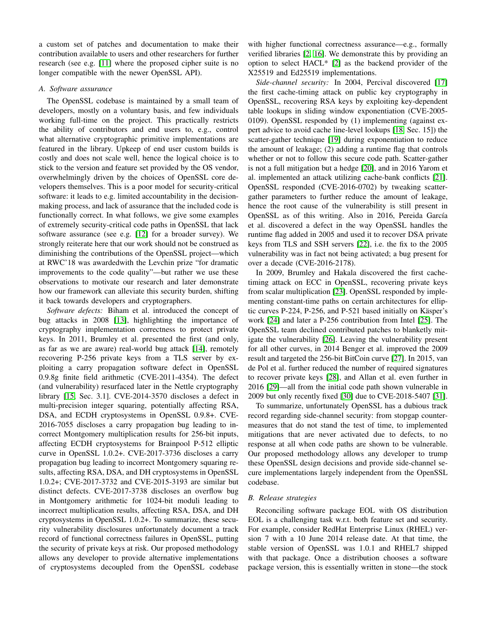a custom set of patches and documentation to make their contribution available to users and other researchers for further research (see e.g. [\[11\]](#page-13-10) where the proposed cipher suite is no longer compatible with the newer OpenSSL API).

## *A. Software assurance*

The OpenSSL codebase is maintained by a small team of developers, mostly on a voluntary basis, and few individuals working full-time on the project. This practically restricts the ability of contributors and end users to, e.g., control what alternative cryptographic primitive implementations are featured in the library. Upkeep of end user custom builds is costly and does not scale well, hence the logical choice is to stick to the version and feature set provided by the OS vendor, overwhelmingly driven by the choices of OpenSSL core developers themselves. This is a poor model for security-critical software: it leads to e.g. limited accountability in the decisionmaking process, and lack of assurance that the included code is functionally correct. In what follows, we give some examples of extremely security-critical code paths in OpenSSL that lack software assurance (see e.g. [\[12\]](#page-13-11) for a broader survey). We strongly reiterate here that our work should not be construed as diminishing the contributions of the OpenSSL project—which at RWC'18 was awardedwith the Levchin prize "for dramatic improvements to the code quality"—but rather we use these observations to motivate our research and later demonstrate how our framework can alleviate this security burden, shifting it back towards developers and cryptographers.

<span id="page-2-0"></span>*Software defects:* Biham et al. introduced the concept of bug attacks in 2008 [\[13\]](#page-13-12), highlighting the importance of cryptography implementation correctness to protect private keys. In 2011, Brumley et al. presented the first (and only, as far as we are aware) real-world bug attack [\[14\]](#page-13-13), remotely recovering P-256 private keys from a TLS server by exploiting a carry propagation software defect in OpenSSL 0.9.8g finite field arithmetic (CVE-2011-4354). The defect (and vulnerability) resurfaced later in the Nettle cryptography library [\[15,](#page-13-14) Sec. 3.1]. CVE-2014-3570 discloses a defect in multi-precision integer squaring, potentially affecting RSA, DSA, and ECDH cryptosystems in OpenSSL 0.9.8+. CVE-2016-7055 discloses a carry propagation bug leading to incorrect Montgomery multiplication results for 256-bit inputs, affecting ECDH cryptosystems for Brainpool P-512 elliptic curve in OpenSSL 1.0.2+. CVE-2017-3736 discloses a carry propagation bug leading to incorrect Montgomery squaring results, affecting RSA, DSA, and DH cryptosystems in OpenSSL 1.0.2+; CVE-2017-3732 and CVE-2015-3193 are similar but distinct defects. CVE-2017-3738 discloses an overflow bug in Montgomery arithmetic for 1024-bit moduli leading to incorrect multiplication results, affecting RSA, DSA, and DH cryptosystems in OpenSSL 1.0.2+. To summarize, these security vulnerability disclosures unfortunately document a track record of functional correctness failures in OpenSSL, putting the security of private keys at risk. Our proposed methodology allows any developer to provide alternative implementations of cryptosystems decoupled from the OpenSSL codebase

with higher functional correctness assurance—e.g., formally verified libraries [\[2,](#page-13-1) [16\]](#page-13-15). We demonstrate this by providing an option to select HACL\* [\[2\]](#page-13-1) as the backend provider of the X25519 and Ed25519 implementations.

*Side-channel security:* In 2004, Percival discovered [\[17\]](#page-13-16) the first cache-timing attack on public key cryptography in OpenSSL, recovering RSA keys by exploiting key-dependent table lookups in sliding window exponentiation (CVE-2005- 0109). OpenSSL responded by (1) implementing (against expert advice to avoid cache line-level lookups [\[18,](#page-13-17) Sec. 15]) the scatter-gather technique [\[19\]](#page-13-18) during exponentiation to reduce the amount of leakage; (2) adding a runtime flag that controls whether or not to follow this secure code path. Scatter-gather is not a full mitigation but a hedge [\[20\]](#page-13-19), and in 2016 Yarom et al. implemented an attack utilizing cache-bank conflicts [\[21\]](#page-13-20). OpenSSL responded (CVE-2016-0702) by tweaking scattergather parameters to further reduce the amount of leakage, hence the root cause of the vulnerability is still present in OpenSSL as of this writing. Also in 2016, Pereida García et al. discovered a defect in the way OpenSSL handles the runtime flag added in 2005 and used it to recover DSA private keys from TLS and SSH servers [\[22\]](#page-13-21), i.e. the fix to the 2005 vulnerability was in fact not being activated; a bug present for over a decade (CVE-2016-2178).

In 2009, Brumley and Hakala discovered the first cachetiming attack on ECC in OpenSSL, recovering private keys from scalar multiplication [\[23\]](#page-13-22). OpenSSL responded by implementing constant-time paths on certain architectures for elliptic curves P-224, P-256, and P-521 based initially on Käsper's work [\[24\]](#page-13-23) and later a P-256 contribution from Intel [\[25\]](#page-13-24). The OpenSSL team declined contributed patches to blanketly mitigate the vulnerability [\[26\]](#page-13-25). Leaving the vulnerability present for all other curves, in 2014 Benger et al. improved the 2009 result and targeted the 256-bit BitCoin curve [\[27\]](#page-13-26). In 2015, van de Pol et al. further reduced the number of required signatures to recover private keys [\[28\]](#page-13-27), and Allan et al. even further in 2016 [\[29\]](#page-14-0)—all from the initial code path shown vulnerable in 2009 but only recently fixed [\[30\]](#page-14-1) due to CVE-2018-5407 [\[31\]](#page-14-2).

To summarize, unfortunately OpenSSL has a dubious track record regarding side-channel security: from stopgap countermeasures that do not stand the test of time, to implemented mitigations that are never activated due to defects, to no response at all when code paths are shown to be vulnerable. Our proposed methodology allows any developer to trump these OpenSSL design decisions and provide side-channel secure implementations largely independent from the OpenSSL codebase.

## <span id="page-2-1"></span>*B. Release strategies*

Reconciling software package EOL with OS distribution EOL is a challenging task w.r.t. both feature set and security. For example, consider RedHat Enterprise Linux (RHEL) version 7 with a 10 June 2014 release date. At that time, the stable version of OpenSSL was 1.0.1 and RHEL7 shipped with that package. Once a distribution chooses a software package version, this is essentially written in stone—the stock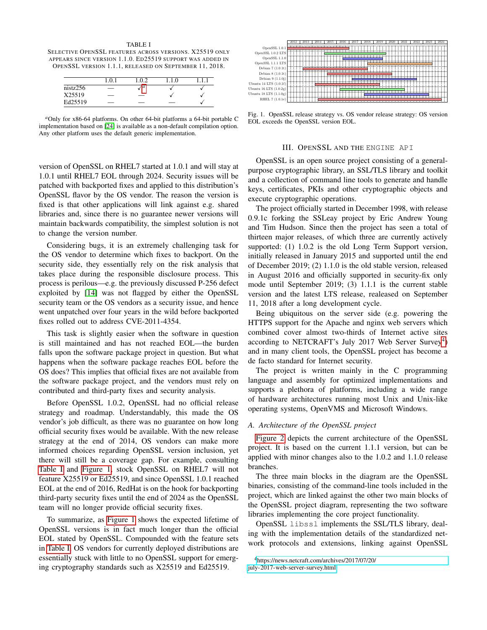<span id="page-3-2"></span>TABLE I SELECTIVE OPENSSL FEATURES ACROSS VERSIONS. X25519 ONLY APPEARS SINCE VERSION 1.1.0. ED25519 SUPPORT WAS ADDED IN OPENSSL VERSION 1.1.1, RELEASED ON SEPTEMBER 11, 2018.

|          | $\cdot$ 0. | 02  |  |
|----------|------------|-----|--|
| nistz256 |            | ' a |  |
| X25519   | _          | __  |  |
| Ed25519  | _          | _   |  |

<span id="page-3-1"></span>*<sup>a</sup>*Only for x86-64 platforms. On other 64-bit platforms a 64-bit portable C implementation based on [\[24\]](#page-13-23) is available as a non-default compilation option. Any other platform uses the default generic implementation.

version of OpenSSL on RHEL7 started at 1.0.1 and will stay at 1.0.1 until RHEL7 EOL through 2024. Security issues will be patched with backported fixes and applied to this distribution's OpenSSL flavor by the OS vendor. The reason the version is fixed is that other applications will link against e.g. shared libraries and, since there is no guarantee newer versions will maintain backwards compatibility, the simplest solution is not to change the version number.

Considering bugs, it is an extremely challenging task for the OS vendor to determine which fixes to backport. On the security side, they essentially rely on the risk analysis that takes place during the responsible disclosure process. This process is perilous—e.g. the previously discussed P-256 defect exploited by [\[14\]](#page-13-13) was not flagged by either the OpenSSL security team or the OS vendors as a security issue, and hence went unpatched over four years in the wild before backported fixes rolled out to address CVE-2011-4354.

This task is slightly easier when the software in question is still maintained and has not reached EOL—the burden falls upon the software package project in question. But what happens when the software package reaches EOL before the OS does? This implies that official fixes are not available from the software package project, and the vendors must rely on contributed and third-party fixes and security analysis.

Before OpenSSL 1.0.2, OpenSSL had no official release strategy and roadmap. Understandably, this made the OS vendor's job difficult, as there was no guarantee on how long official security fixes would be available. With the new release strategy at the end of 2014, OS vendors can make more informed choices regarding OpenSSL version inclusion, yet there will still be a coverage gap. For example, consulting [Table I](#page-3-2) and [Figure 1,](#page-3-3) stock OpenSSL on RHEL7 will not feature X25519 or Ed25519, and since OpenSSL 1.0.1 reached EOL at the end of 2016, RedHat is on the hook for backporting third-party security fixes until the end of 2024 as the OpenSSL team will no longer provide official security fixes.

To summarize, as [Figure 1](#page-3-3) shows the expected lifetime of OpenSSL versions is in fact much longer than the official EOL stated by OpenSSL. Compounded with the feature sets in [Table I,](#page-3-2) OS vendors for currently deployed distributions are essentially stuck with little to no OpenSSL support for emerging cryptography standards such as X25519 and Ed25519.



<span id="page-3-3"></span>Fig. 1. OpenSSL release strategy vs. OS vendor release strategy: OS version EOL exceeds the OpenSSL version EOL.

### III. OPENSSL AND THE ENGINE API

<span id="page-3-0"></span>OpenSSL is an open source project consisting of a generalpurpose cryptographic library, an SSL/TLS library and toolkit and a collection of command line tools to generate and handle keys, certificates, PKIs and other cryptographic objects and execute cryptographic operations.

The project officially started in December 1998, with release 0.9.1c forking the SSLeay project by Eric Andrew Young and Tim Hudson. Since then the project has seen a total of thirteen major releases, of which three are currently actively supported: (1) 1.0.2 is the old Long Term Support version, initially released in January 2015 and supported until the end of December 2019; (2) 1.1.0 is the old stable version, released in August 2016 and officially supported in security-fix only mode until September 2019; (3) 1.1.1 is the current stable version and the latest LTS release, realeased on September 11, 2018 after a long development cycle.

Being ubiquitous on the server side (e.g. powering the HTTPS support for the Apache and nginx web servers which combined cover almost two-thirds of Internet active sites according to NETCRAFT's July 2017 Web Server Survey<sup>[4](#page-3-4)</sup>) and in many client tools, the OpenSSL project has become a de facto standard for Internet security.

The project is written mainly in the C programming language and assembly for optimized implementations and supports a plethora of platforms, including a wide range of hardware architectures running most Unix and Unix-like operating systems, OpenVMS and Microsoft Windows.

## *A. Architecture of the OpenSSL project*

[Figure 2](#page-4-0) depicts the current architecture of the OpenSSL project. It is based on the current 1.1.1 version, but can be applied with minor changes also to the 1.0.2 and 1.1.0 release branches.

The three main blocks in the diagram are the OpenSSL binaries, consisting of the command-line tools included in the project, which are linked against the other two main blocks of the OpenSSL project diagram, representing the two software libraries implementing the core project functionality.

OpenSSL libssl implements the SSL/TLS library, dealing with the implementation details of the standardized network protocols and extensions, linking against OpenSSL

<span id="page-3-4"></span><sup>4</sup>[https://news.netcraft.com/archives/2017/07/20/](https://news.netcraft.com/archives/2017/07/20/july-2017-web-server-survey.html) [july-2017-web-server-survey.html](https://news.netcraft.com/archives/2017/07/20/july-2017-web-server-survey.html)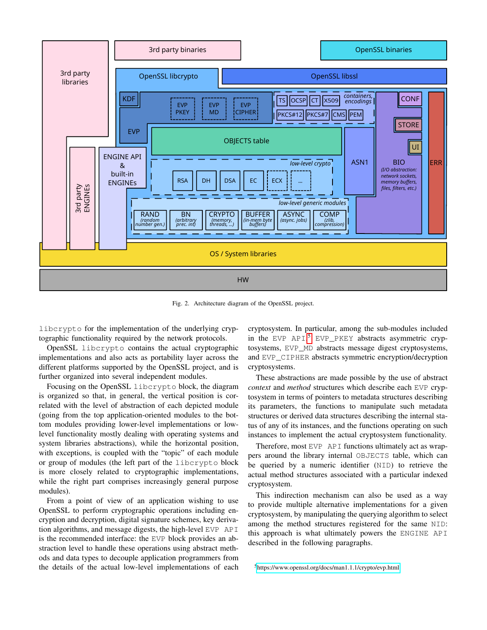

<span id="page-4-0"></span>Fig. 2. Architecture diagram of the OpenSSL project.

libcrypto for the implementation of the underlying cryptographic functionality required by the network protocols.

OpenSSL libcrypto contains the actual cryptographic implementations and also acts as portability layer across the different platforms supported by the OpenSSL project, and is further organized into several independent modules.

Focusing on the OpenSSL libcrypto block, the diagram is organized so that, in general, the vertical position is correlated with the level of abstraction of each depicted module (going from the top application-oriented modules to the bottom modules providing lower-level implementations or lowlevel functionality mostly dealing with operating systems and system libraries abstractions), while the horizontal position, with exceptions, is coupled with the "topic" of each module or group of modules (the left part of the libcrypto block is more closely related to cryptographic implementations, while the right part comprises increasingly general purpose modules).

From a point of view of an application wishing to use OpenSSL to perform cryptographic operations including encryption and decryption, digital signature schemes, key derivation algorithms, and message digests, the high-level EVP API is the recommended interface: the EVP block provides an abstraction level to handle these operations using abstract methods and data types to decouple application programmers from the details of the actual low-level implementations of each cryptosystem. In particular, among the sub-modules included in the EVP API,<sup>[5](#page-4-1)</sup> EVP\_PKEY abstracts asymmetric cryptosystems, EVP\_MD abstracts message digest cryptosystems, and EVP\_CIPHER abstracts symmetric encryption/decryption cryptosystems.

These abstractions are made possible by the use of abstract *context* and *method* structures which describe each EVP cryptosystem in terms of pointers to metadata structures describing its parameters, the functions to manipulate such metadata structures or derived data structures describing the internal status of any of its instances, and the functions operating on such instances to implement the actual cryptosystem functionality.

Therefore, most EVP API functions ultimately act as wrappers around the library internal OBJECTS table, which can be queried by a numeric identifier (NID) to retrieve the actual method structures associated with a particular indexed cryptosystem.

This indirection mechanism can also be used as a way to provide multiple alternative implementations for a given cryptosystem, by manipulating the querying algorithm to select among the method structures registered for the same NID: this approach is what ultimately powers the ENGINE API described in the following paragraphs.

<span id="page-4-1"></span><sup>5</sup><https://www.openssl.org/docs/man1.1.1/crypto/evp.html>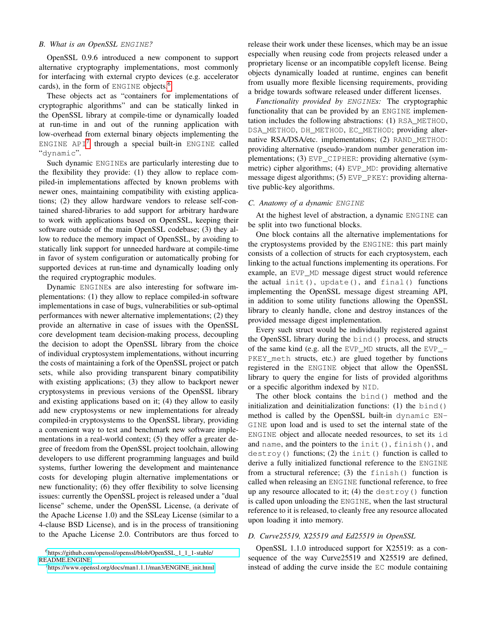## *B. What is an OpenSSL* ENGINE*?*

OpenSSL 0.9.6 introduced a new component to support alternative cryptography implementations, most commonly for interfacing with external crypto devices (e.g. accelerator cards), in the form of ENGINE objects.<sup>[6](#page-5-1)</sup>

These objects act as "containers for implementations of cryptographic algorithms" and can be statically linked in the OpenSSL library at compile-time or dynamically loaded at run-time in and out of the running application with low-overhead from external binary objects implementing the ENGINE  $API^7$  $API^7$  through a special built-in ENGINE called "dynamic".

Such dynamic ENGINEs are particularly interesting due to the flexibility they provide: (1) they allow to replace compiled-in implementations affected by known problems with newer ones, maintaining compatibility with existing applications; (2) they allow hardware vendors to release self-contained shared-libraries to add support for arbitrary hardware to work with applications based on OpenSSL, keeping their software outside of the main OpenSSL codebase; (3) they allow to reduce the memory impact of OpenSSL, by avoiding to statically link support for unneeded hardware at compile-time in favor of system configuration or automatically probing for supported devices at run-time and dynamically loading only the required cryptographic modules.

Dynamic ENGINEs are also interesting for software implementations: (1) they allow to replace compiled-in software implementations in case of bugs, vulnerabilities or sub-optimal performances with newer alternative implementations; (2) they provide an alternative in case of issues with the OpenSSL core development team decision-making process, decoupling the decision to adopt the OpenSSL library from the choice of individual cryptosystem implementations, without incurring the costs of maintaining a fork of the OpenSSL project or patch sets, while also providing transparent binary compatibility with existing applications; (3) they allow to backport newer cryptosystems in previous versions of the OpenSSL library and existing applications based on it; (4) they allow to easily add new cryptosystems or new implementations for already compiled-in cryptosystems to the OpenSSL library, providing a convenient way to test and benchmark new software implementations in a real-world context; (5) they offer a greater degree of freedom from the OpenSSL project toolchain, allowing developers to use different programming languages and build systems, further lowering the development and maintenance costs for developing plugin alternative implementations or new functionality; (6) they offer flexibility to solve licensing issues: currently the OpenSSL project is released under a "dual license" scheme, under the OpenSSL License, (a derivate of the Apache License 1.0) and the SSLeay License (similar to a 4-clause BSD License), and is in the process of transitioning to the Apache License 2.0. Contributors are thus forced to release their work under these licenses, which may be an issue especially when reusing code from projects released under a proprietary license or an incompatible copyleft license. Being objects dynamically loaded at runtime, engines can benefit from usually more flexible licensing requirements, providing a bridge towards software released under different licenses.

*Functionality provided by* ENGINE*s:* The cryptographic functionality that can be provided by an ENGINE implementation includes the following abstractions: (1) RSA\_METHOD, DSA\_METHOD, DH\_METHOD, EC\_METHOD; providing alternative RSA/DSA/etc. implementations; (2) RAND\_METHOD: providing alternative (pseudo-)random number generation implementations; (3) EVP\_CIPHER: providing alternative (symmetric) cipher algorithms; (4) EVP MD: providing alternative message digest algorithms; (5) EVP\_PKEY: providing alternative public-key algorithms.

### *C. Anatomy of a dynamic* ENGINE

At the highest level of abstraction, a dynamic ENGINE can be split into two functional blocks.

One block contains all the alternative implementations for the cryptosystems provided by the ENGINE: this part mainly consists of a collection of structs for each cryptosystem, each linking to the actual functions implementing its operations. For example, an EVP\_MD message digest struct would reference the actual init(), update(), and final() functions implementing the OpenSSL message digest streaming API, in addition to some utility functions allowing the OpenSSL library to cleanly handle, clone and destroy instances of the provided message digest implementation.

Every such struct would be individually registered against the OpenSSL library during the bind() process, and structs of the same kind (e.g. all the EVP\_MD structs, all the EVP\_- PKEY\_meth structs, etc.) are glued together by functions registered in the ENGINE object that allow the OpenSSL library to query the engine for lists of provided algorithms or a specific algorithm indexed by NID.

The other block contains the bind() method and the initialization and deinitialization functions: (1) the bind() method is called by the OpenSSL built-in dynamic EN-GINE upon load and is used to set the internal state of the ENGINE object and allocate needed resources, to set its id and name, and the pointers to the init(), finish(), and  $destroy()$  functions; (2) the init() function is called to derive a fully initialized functional reference to the ENGINE from a structural reference; (3) the finish() function is called when releasing an ENGINE functional reference, to free up any resource allocated to it; (4) the destroy() function is called upon unloading the ENGINE, when the last structural reference to it is released, to cleanly free any resource allocated upon loading it into memory.

## <span id="page-5-0"></span>*D. Curve25519, X25519 and Ed25519 in OpenSSL*

OpenSSL 1.1.0 introduced support for X25519: as a consequence of the way Curve25519 and X25519 are defined, instead of adding the curve inside the EC module containing

<span id="page-5-1"></span><sup>6</sup>[https://github.com/openssl/openssl/blob/OpenSSL\\_1\\_1\\_1-stable/](https://github.com/openssl/openssl/blob/OpenSSL_1_1_1-stable/README.ENGINE) [README.ENGINE](https://github.com/openssl/openssl/blob/OpenSSL_1_1_1-stable/README.ENGINE)

<span id="page-5-2"></span><sup>7</sup>[https://www.openssl.org/docs/man1.1.1/man3/ENGINE\\_init.html](https://www.openssl.org/docs/man1.1.1/man3/ENGINE_init.html)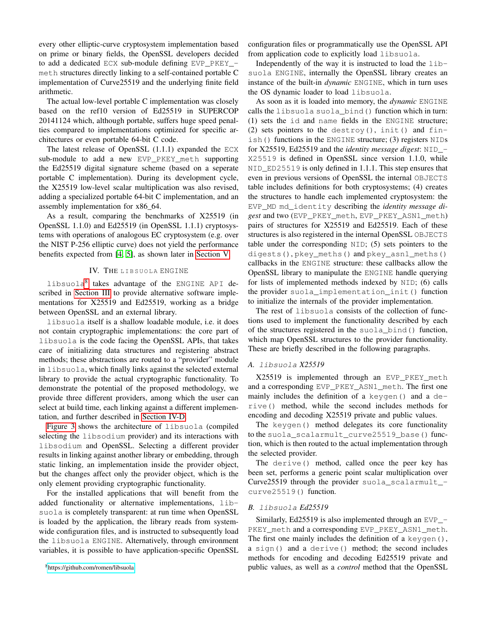every other elliptic-curve cryptosystem implementation based on prime or binary fields, the OpenSSL developers decided to add a dedicated ECX sub-module defining EVP\_PKEY\_meth structures directly linking to a self-contained portable C implementation of Curve25519 and the underlying finite field arithmetic.

The actual low-level portable C implementation was closely based on the ref10 version of Ed25519 in SUPERCOP 20141124 which, although portable, suffers huge speed penalties compared to implementations optimized for specific architectures or even portable 64-bit C code.

The latest release of OpenSSL (1.1.1) expanded the ECX sub-module to add a new EVP\_PKEY\_meth supporting the Ed25519 digital signature scheme (based on a seperate portable C implementation). During its development cycle, the X25519 low-level scalar multiplication was also revised, adding a specialized portable 64-bit C implementation, and an assembly implementation for x86\_64.

As a result, comparing the benchmarks of X25519 (in OpenSSL 1.1.0) and Ed25519 (in OpenSSL 1.1.1) cryptosystems with operations of analogous EC cryptosystem (e.g. over the NIST P-256 elliptic curve) does not yield the performance benefits expected from [\[4,](#page-13-3) [5\]](#page-13-4), as shown later in [Section V.](#page-8-0)

## IV. THE LIBSUOLA ENGINE

<span id="page-6-0"></span>libsuola<sup>[8](#page-6-1)</sup> takes advantage of the ENGINE API described in [Section III](#page-3-0) to provide alternative software implementations for X25519 and Ed25519, working as a bridge between OpenSSL and an external library.

libsuola itself is a shallow loadable module, i.e. it does not contain cryptographic implementations: the core part of libsuola is the code facing the OpenSSL APIs, that takes care of initializing data structures and registering abstract methods; these abstractions are routed to a "provider" module in libsuola, which finally links against the selected external library to provide the actual cryptographic functionality. To demonstrate the potential of the proposed methodology, we provide three different providers, among which the user can select at build time, each linking against a different implementation, and further described in [Section IV-D.](#page-8-1)

[Figure 3](#page-7-0) shows the architecture of libsuola (compiled selecting the libsodium provider) and its interactions with libsodium and OpenSSL. Selecting a different provider results in linking against another library or embedding, through static linking, an implementation inside the provider object, but the changes affect only the provider object, which is the only element providing cryptographic functionality.

For the installed applications that will benefit from the added functionality or alternative implementations, libsuola is completely transparent: at run time when OpenSSL is loaded by the application, the library reads from systemwide configuration files, and is instructed to subsequently load the libsuola ENGINE. Alternatively, through environment variables, it is possible to have application-specific OpenSSL configuration files or programmatically use the OpenSSL API from application code to explicitly load libsuola.

Independently of the way it is instructed to load the libsuola ENGINE, internally the OpenSSL library creates an instance of the built-in *dynamic* ENGINE, which in turn uses the OS dynamic loader to load libsuola.

As soon as it is loaded into memory, the *dynamic* ENGINE calls the libsuola suola\_bind() function which in turn: (1) sets the id and name fields in the ENGINE structure; (2) sets pointers to the destroy(), init() and finish() functions in the ENGINE structure; (3) registers NIDs for X25519, Ed25519 and the *identity message digest*: NID\_- X25519 is defined in OpenSSL since version 1.1.0, while NID\_ED25519 is only defined in 1.1.1. This step ensures that even in previous versions of OpenSSL the internal OBJECTS table includes definitions for both cryptosystems; (4) creates the structures to handle each implemented cryptosystem: the EVP\_MD md\_identity describing the *identity message digest* and two (EVP\_PKEY\_meth, EVP\_PKEY\_ASN1\_meth) pairs of structures for X25519 and Ed25519. Each of these structures is also registered in the internal OpenSSL OBJECTS table under the corresponding NID; (5) sets pointers to the digests(), pkey\_meths() and pkey\_asn1\_meths() callbacks in the ENGINE structure: these callbacks allow the OpenSSL library to manipulate the ENGINE handle querying for lists of implemented methods indexed by NID; (6) calls the provider suola\_implementation\_init() function to initialize the internals of the provider implementation.

The rest of libsuola consists of the collection of functions used to implement the functionality described by each of the structures registered in the suola\_bind() function, which map OpenSSL structures to the provider functionality. These are briefly described in the following paragraphs.

## *A.* libsuola *X25519*

X25519 is implemented through an EVP\_PKEY\_meth and a corresponding EVP\_PKEY\_ASN1\_meth. The first one mainly includes the definition of a keygen() and a derive() method, while the second includes methods for encoding and decoding X25519 private and public values.

The keygen() method delegates its core functionality to the suola scalarmult curve25519 base() function, which is then routed to the actual implementation through the selected provider.

The derive() method, called once the peer key has been set, performs a generic point scalar multiplication over Curve25519 through the provider suola\_scalarmult\_ curve25519() function.

#### *B.* libsuola *Ed25519*

Similarly, Ed25519 is also implemented through an EVP\_- PKEY\_meth and a corresponding EVP\_PKEY\_ASN1\_meth. The first one mainly includes the definition of a keygen(), a sign() and a derive() method; the second includes methods for encoding and decoding Ed25519 private and public values, as well as a *control* method that the OpenSSL

<span id="page-6-1"></span><sup>8</sup><https://github.com/romen/libsuola>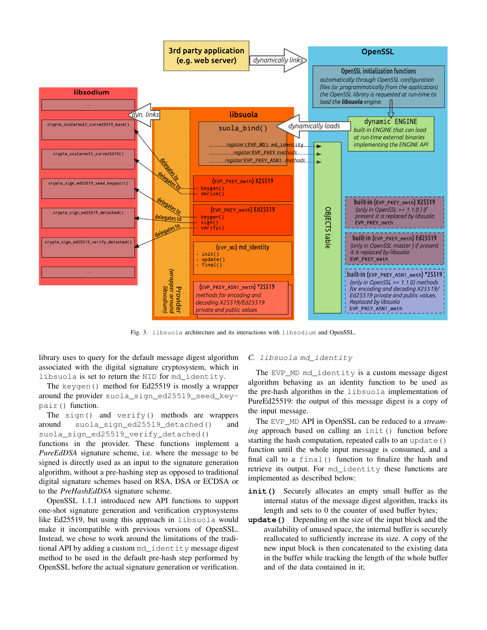

<span id="page-7-0"></span>Fig. 3. libsuola architecture and its interactions with libsodium and OpenSSL.

library uses to query for the default message digest algorithm associated with the digital signature cryptosystem, which in libsuola is set to return the NID for md\_identity.

The keygen() method for Ed25519 is mostly a wrapper around the provider suola\_sign\_ed25519\_seed\_keypair() function.

The sign() and verify() methods are wrappers around suola\_sign\_ed25519\_detached() and suola sign ed25519 verify detached()

functions in the provider. These functions implement a *PureEdDSA* signature scheme, i.e. where the message to be signed is directly used as an input to the signature generation algorithm, without a pre-hashing step as opposed to traditional digital signature schemes based on RSA, DSA or ECDSA or to the *PreHashEdDSA* signature scheme.

OpenSSL 1.1.1 introduced new API functions to support one-shot signature generation and verification cryptosystems like Ed25519, but using this approach in libsuola would make it incompatible with previous versions of OpenSSL. Instead, we chose to work around the limitations of the traditional API by adding a custom md identity message digest method to be used in the default pre-hash step performed by OpenSSL before the actual signature generation or verification.

## *C.* libsuola md\_identity

The EVP MD md identity is a custom message digest algorithm behaving as an identity function to be used as the pre-hash algorithm in the libsuola implementation of PureEd25519: the output of this message digest is a copy of the input message.

The EVP\_MD API in OpenSSL can be reduced to a *streaming* approach based on calling an init() function before starting the hash computation, repeated calls to an update () function until the whole input message is consumed, and a final call to a final() function to finalize the hash and retrieve its output. For md\_identity these functions are implemented as described below:

- **init()** Securely allocates an empty small buffer as the internal status of the message digest algorithm, tracks its length and sets to 0 the counter of used buffer bytes;
- **update()** Depending on the size of the input block and the availability of unused space, the internal buffer is securely reallocated to sufficiently increase its size. A copy of the new input block is then concatenated to the existing data in the buffer while tracking the length of the whole buffer and of the data contained in it;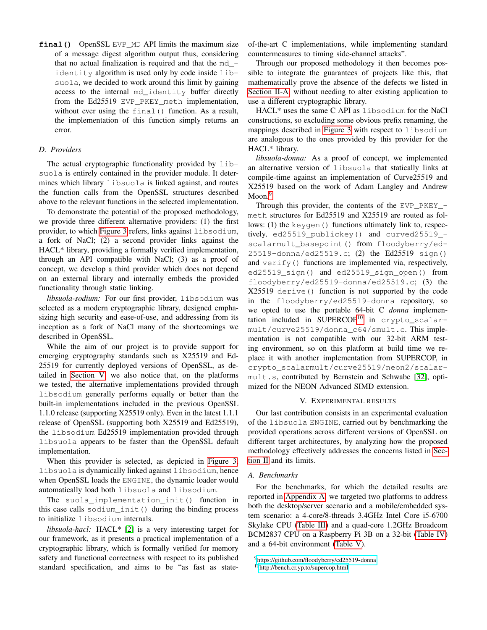**final ()** OpenSSL EVP\_MD API limits the maximum size of a message digest algorithm output thus, considering that no actual finalization is required and that the  $md$ identity algorithm is used only by code inside libsuola, we decided to work around this limit by gaining access to the internal md\_identity buffer directly from the Ed25519 EVP\_PKEY\_meth implementation, without ever using the final() function. As a result, the implementation of this function simply returns an error.

## <span id="page-8-1"></span>*D. Providers*

The actual cryptographic functionality provided by libsuola is entirely contained in the provider module. It determines which library libsuola is linked against, and routes the function calls from the OpenSSL structures described above to the relevant functions in the selected implementation.

To demonstrate the potential of the proposed methodology, we provide three different alternative providers: (1) the first provider, to which [Figure 3](#page-7-0) refers, links against libsodium, a fork of NaCl; (2) a second provider links against the HACL\* library, providing a formally verified implementation, through an API compatible with NaCl; (3) as a proof of concept, we develop a third provider which does not depend on an external library and internally embeds the provided functionality through static linking.

*libsuola-sodium:* For our first provider, libsodium was selected as a modern cryptographic library, designed emphasizing high security and ease-of-use, and addressing from its inception as a fork of NaCl many of the shortcomings we described in OpenSSL.

While the aim of our project is to provide support for emerging cryptography standards such as X25519 and Ed-25519 for currently deployed versions of OpenSSL, as detailed in [Section V,](#page-8-0) we also notice that, on the platforms we tested, the alternative implementations provided through libsodium generally performs equally or better than the built-in implementations included in the previous OpenSSL 1.1.0 release (supporting X25519 only). Even in the latest 1.1.1 release of OpenSSL (supporting both X25519 and Ed25519), the libsodium Ed25519 implementation provided through libsuola appears to be faster than the OpenSSL default implementation.

When this provider is selected, as depicted in [Figure 3,](#page-7-0) libsuola is dynamically linked against libsodium, hence when OpenSSL loads the ENGINE, the dynamic loader would automatically load both libsuola and libsodium.

The suola implementation init() function in this case calls sodium\_init() during the binding process to initialize libsodium internals.

*libsuola-hacl:* HACL\* [\[2\]](#page-13-1) is a very interesting target for our framework, as it presents a practical implementation of a cryptographic library, which is formally verified for memory safety and functional correctness with respect to its published standard specification, and aims to be "as fast as state-

of-the-art C implementations, while implementing standard countermeasures to timing side-channel attacks".

Through our proposed methodology it then becomes possible to integrate the guarantees of projects like this, that mathematically prove the absence of the defects we listed in [Section II-A,](#page-2-0) without needing to alter existing application to use a different cryptographic library.

HACL\* uses the same C API as libsodium for the NaCl constructions, so excluding some obvious prefix renaming, the mappings described in [Figure 3](#page-7-0) with respect to libsodium are analogous to the ones provided by this provider for the HACL\* library.

*libsuola-donna:* As a proof of concept, we implemented an alternative version of libsuola that statically links at compile-time against an implementation of Curve25519 and X25519 based on the work of Adam Langley and Andrew Moon.<sup>[9](#page-8-2)</sup>

Through this provider, the contents of the EVP\_PKEY\_ meth structures for Ed25519 and X25519 are routed as follows: (1) the keygen() functions ultimately link to, respectively, ed25519\_publickey() and curved25519\_ scalarmult\_basepoint() from floodyberry/ed-25519-donna/ed25519.c; (2) the Ed25519 sign() and verify() functions are implemented via, respectively, ed25519\_sign() and ed25519\_sign\_open() from floodyberry/ed25519-donna/ed25519.c; (3) the X25519 derive() function is not supported by the code in the floodyberry/ed25519-donna repository, so we opted to use the portable 64-bit C *donna* implemen-tation included in SUPERCOP<sup>[10](#page-8-3)</sup> in crypto\_scalarmult/curve25519/donna\_c64/smult.c. This implementation is not compatible with our 32-bit ARM testing environment, so on this platform at build time we replace it with another implementation from SUPERCOP, in crypto\_scalarmult/curve25519/neon2/scalarmult.s, contributed by Bernstein and Schwabe [\[32\]](#page-14-3), optimized for the NEON Advanced SIMD extension.

#### V. EXPERIMENTAL RESULTS

<span id="page-8-0"></span>Our last contribution consists in an experimental evaluation of the libsuola ENGINE, carried out by benchmarking the provided operations across different versions of OpenSSL on different target architectures, by analyzing how the proposed methodology effectively addresses the concerns listed in [Sec](#page-1-0)[tion II](#page-1-0) and its limits.

## *A. Benchmarks*

For the benchmarks, for which the detailed results are reported in [Appendix A,](#page-14-4) we targeted two platforms to address both the desktop/server scenario and a mobile/embedded system scenario: a 4-core/8-threads 3.4GHz Intel Core i5-6700 Skylake CPU [\(Table III\)](#page-14-5) and a quad-core 1.2GHz Broadcom BCM2837 CPU on a Raspberry Pi 3B on a 32-bit [\(Table IV\)](#page-15-0) and a 64-bit environment [\(Table V\)](#page-15-1).

<span id="page-8-2"></span><sup>9</sup><https://github.com/floodyberry/ed25519-donna>

<span id="page-8-3"></span><sup>10</sup><http://bench.cr.yp.to/supercop.html>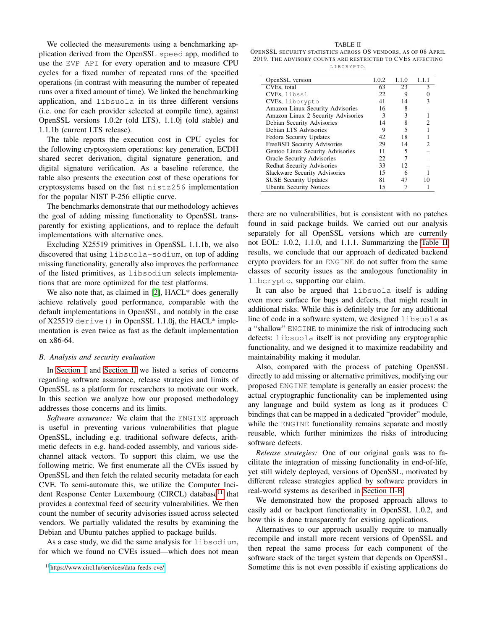We collected the measurements using a benchmarking application derived from the OpenSSL speed app, modified to use the EVP API for every operation and to measure CPU cycles for a fixed number of repeated runs of the specified operations (in contrast with measuring the number of repeated runs over a fixed amount of time). We linked the benchmarking application, and libsuola in its three different versions (i.e. one for each provider selected at compile time), against OpenSSL versions 1.0.2r (old LTS), 1.1.0j (old stable) and 1.1.1b (current LTS release).

The table reports the execution cost in CPU cycles for the following cryptosystem operations: key generation, ECDH shared secret derivation, digital signature generation, and digital signature verification. As a baseline reference, the table also presents the execution cost of these operations for cryptosystems based on the fast nistz256 implementation for the popular NIST P-256 elliptic curve.

The benchmarks demonstrate that our methodology achieves the goal of adding missing functionality to OpenSSL transparently for existing applications, and to replace the default implementations with alternative ones.

Excluding X25519 primitives in OpenSSL 1.1.1b, we also discovered that using libsuola-sodium, on top of adding missing functionality, generally also improves the performance of the listed primitives, as libsodium selects implementations that are more optimized for the test platforms.

We also note that, as claimed in [\[2\]](#page-13-1), HACL\* does generally achieve relatively good performance, comparable with the default implementations in OpenSSL, and notably in the case of X25519 derive() in OpenSSL 1.1.0j, the HACL\* implementation is even twice as fast as the default implementation on x86-64.

#### *B. Analysis and security evaluation*

In [Section I](#page-0-3) and [Section II](#page-1-0) we listed a series of concerns regarding software assurance, release strategies and limits of OpenSSL as a platform for researchers to motivate our work. In this section we analyze how our proposed methodology addresses those concerns and its limits.

*Software assurance:* We claim that the ENGINE approach is useful in preventing various vulnerabilities that plague OpenSSL, including e.g. traditional software defects, arithmetic defects in e.g. hand-coded assembly, and various sidechannel attack vectors. To support this claim, we use the following metric. We first enumerate all the CVEs issued by OpenSSL and then fetch the related security metadata for each CVE. To semi-automate this, we utilize the Computer Inci-dent Response Center Luxembourg (CIRCL) database<sup>[11](#page-9-0)</sup> that provides a contextual feed of security vulnerabilities. We then count the number of security advisories issued across selected vendors. We partially validated the results by examining the Debian and Ubuntu patches applied to package builds.

As a case study, we did the same analysis for libsodium, for which we found no CVEs issued—which does not mean

<span id="page-9-1"></span>TABLE II OPENSSL SECURITY STATISTICS ACROSS OS VENDORS, AS OF 08 APRIL 2019. THE ADVISORY COUNTS ARE RESTRICTED TO CVES AFFECTING L I B C R Y P T O.

| OpenSSL version                    | 1.0.2 | 1.1.0 | 1.1.1 |
|------------------------------------|-------|-------|-------|
| CVEs, total                        | 63    | 23    |       |
| CVEs, libssl                       | 22    | 9     |       |
| CVEs, liberypto                    | 41    | 14    |       |
| Amazon Linux Security Advisories   | 16    | 8     |       |
| Amazon Linux 2 Security Advisories | 3     | 3     |       |
| Debian Security Advisories         | 14    | 8     |       |
| Debian LTS Advisories              | 9     | 5     |       |
| Fedora Security Updates            | 42    | 18    |       |
| FreeBSD Security Advisories        | 29    | 14    |       |
| Gentoo Linux Security Advisories   | 11    | 5     |       |
| Oracle Security Advisories         | 22    |       |       |
| Redhat Security Advisories         | 33    | 12    |       |
| Slackware Security Advisories      | 15    | 6     |       |
| <b>SUSE Security Updates</b>       | 81    | 47    |       |
| <b>Ubuntu Security Notices</b>     | 15    |       |       |

there are no vulnerabilities, but is consistent with no patches found in said package builds. We carried out our analysis separately for all OpenSSL versions which are currently not EOL: 1.0.2, 1.1.0, and 1.1.1. Summarizing the [Table II](#page-9-1) results, we conclude that our approach of dedicated backend crypto providers for an ENGINE do not suffer from the same classes of security issues as the analogous functionality in libcrypto, supporting our claim.

It can also be argued that libsuola itself is adding even more surface for bugs and defects, that might result in additional risks. While this is definitely true for any additional line of code in a software system, we designed libsuola as a "shallow" ENGINE to minimize the risk of introducing such defects: libsuola itself is not providing any cryptographic functionality, and we designed it to maximize readability and maintainability making it modular.

Also, compared with the process of patching OpenSSL directly to add missing or alternative primitives, modifying our proposed ENGINE template is generally an easier process: the actual cryptographic functionality can be implemented using any language and build system as long as it produces C bindings that can be mapped in a dedicated "provider" module, while the ENGINE functionality remains separate and mostly reusable, which further minimizes the risks of introducing software defects.

*Release strategies:* One of our original goals was to facilitate the integration of missing functionality in end-of-life, yet still widely deployed, versions of OpenSSL, motivated by different release strategies applied by software providers in real-world systems as described in [Section II-B.](#page-2-1)

We demonstrated how the proposed approach allows to easily add or backport functionality in OpenSSL 1.0.2, and how this is done transparently for existing applications.

Alternatives to our approach usually require to manually recompile and install more recent versions of OpenSSL and then repeat the same process for each component of the software stack of the target system that depends on OpenSSL. Sometime this is not even possible if existing applications do

<span id="page-9-0"></span><sup>11</sup><https://www.circl.lu/services/data-feeds-cve/>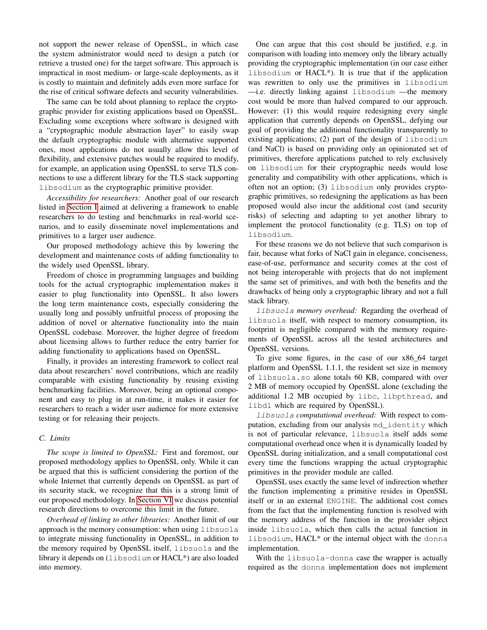not support the newer release of OpenSSL, in which case the system administrator would need to design a patch (or retrieve a trusted one) for the target software. This approach is impractical in most medium- or large-scale deployments, as it is costly to maintain and definitely adds even more surface for the rise of critical software defects and security vulnerabilities.

The same can be told about planning to replace the cryptographic provider for existing applications based on OpenSSL. Excluding some exceptions where software is designed with a "cryptographic module abstraction layer" to easily swap the default cryptographic module with alternative supported ones, most applications do not usually allow this level of flexibility, and extensive patches would be required to modify, for example, an application using OpenSSL to serve TLS connections to use a different library for the TLS stack supporting libsodium as the cryptographic primitive provider.

*Accessibility for researchers:* Another goal of our research listed in [Section I](#page-0-3) aimed at delivering a framework to enable researchers to do testing and benchmarks in real-world scenarios, and to easily disseminate novel implementations and primitives to a larger user audience.

Our proposed methodology achieve this by lowering the development and maintenance costs of adding functionality to the widely used OpenSSL library.

Freedom of choice in programming languages and building tools for the actual cryptographic implementation makes it easier to plug functionality into OpenSSL. It also lowers the long term maintenance costs, especially considering the usually long and possibly unfruitful process of proposing the addition of novel or alternative functionality into the main OpenSSL codebase. Moreover, the higher degree of freedom about licensing allows to further reduce the entry barrier for adding functionality to applications based on OpenSSL.

Finally, it provides an interesting framework to collect real data about researchers' novel contributions, which are readily comparable with existing functionality by reusing existing benchmarking facilities. Moreover, being an optional component and easy to plug in at run-time, it makes it easier for researchers to reach a wider user audience for more extensive testing or for releasing their projects.

## *C. Limits*

*The scope is limited to OpenSSL:* First and foremost, our proposed methodology applies to OpenSSL only. While it can be argued that this is sufficient considering the portion of the whole Internet that currently depends on OpenSSL as part of its security stack, we recognize that this is a strong limit of our proposed methodology. In [Section VI](#page-11-0) we discuss potential research directions to overcome this limit in the future.

*Overhead of linking to other libraries:* Another limit of our approach is the memory consumption: when using libsuola to integrate missing functionality in OpenSSL, in addition to the memory required by OpenSSL itself, libsuola and the library it depends on (libsodium or HACL\*) are also loaded into memory.

One can argue that this cost should be justified, e.g. in comparison with loading into memory only the library actually providing the cryptographic implementation (in our case either libsodium or HACL\*). It is true that if the application was rewritten to only use the primitives in libsodium —i.e. directly linking against libsodium —the memory cost would be more than halved compared to our approach. However: (1) this would require redesigning every single application that currently depends on OpenSSL, defying our goal of providing the additional functionality transparently to existing applications; (2) part of the design of libsodium (and NaCl) is based on providing only an opinionated set of primitives, therefore applications patched to rely exclusively on libsodium for their cryptographic needs would lose generality and compatibility with other applications, which is often not an option; (3) libsodium only provides cryptographic primitives, so redesigning the applications as has been proposed would also incur the additional cost (and security risks) of selecting and adapting to yet another library to implement the protocol functionality (e.g. TLS) on top of libsodium.

For these reasons we do not believe that such comparison is fair, because what forks of NaCl gain in elegance, conciseness, ease-of-use, performance and security comes at the cost of not being interoperable with projects that do not implement the same set of primitives, and with both the benefits and the drawbacks of being only a cryptographic library and not a full stack library.

libsuola *memory overhead:* Regarding the overhead of libsuola itself, with respect to memory consumption, its footprint is negligible compared with the memory requirements of OpenSSL across all the tested architectures and OpenSSL versions.

To give some figures, in the case of our x86\_64 target platform and OpenSSL 1.1.1, the resident set size in memory of libsuola.so alone totals 60 KB, compared with over 2 MB of memory occupied by OpenSSL alone (excluding the additional 1.2 MB occupied by libc, libpthread, and libdl which are required by OpenSSL).

libsuola *computational overhead:* With respect to computation, excluding from our analysis md\_identity which is not of particular relevance, libsuola itself adds some computational overhead once when it is dynamically loaded by OpenSSL during initialization, and a small computational cost every time the functions wrapping the actual cryptographic primitives in the provider module are called.

OpenSSL uses exactly the same level of indirection whether the function implementing a primitive resides in OpenSSL itself or in an external ENGINE. The additional cost comes from the fact that the implementing function is resolved with the memory address of the function in the provider object inside libsuola, which then calls the actual function in libsodium, HACL\* or the internal object with the donna implementation.

With the libsuola-donna case the wrapper is actually required as the donna implementation does not implement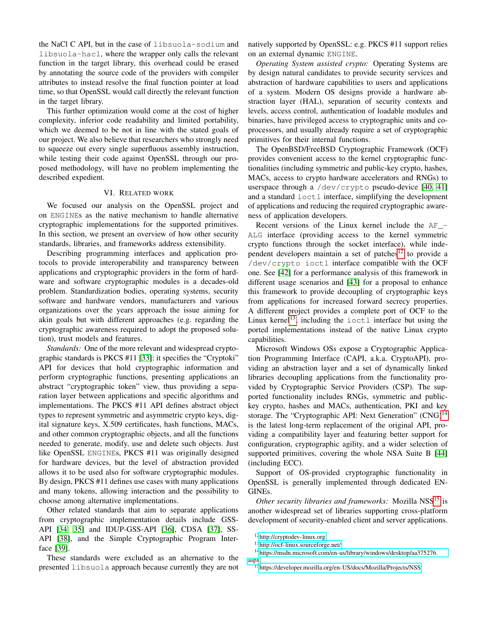the NaCl C API, but in the case of libsuola-sodium and libsuola-hacl, where the wrapper only calls the relevant function in the target library, this overhead could be erased by annotating the source code of the providers with compiler attributes to instead resolve the final function pointer at load time, so that OpenSSL would call directly the relevant function in the target library.

This further optimization would come at the cost of higher complexity, inferior code readability and limited portability, which we deemed to be not in line with the stated goals of our project. We also believe that researchers who strongly need to squeeze out every single superfluous assembly instruction, while testing their code against OpenSSL through our proposed methodology, will have no problem implementing the described expedient.

## VI. RELATED WORK

<span id="page-11-0"></span>We focused our analysis on the OpenSSL project and on ENGINEs as the native mechanism to handle alternative cryptographic implementations for the supported primitives. In this section, we present an overview of how other security standards, libraries, and frameworks address extensibility.

Describing programming interfaces and application protocols to provide interoperability and transparency between applications and cryptographic providers in the form of hardware and software cryptographic modules is a decades-old problem. Standardization bodies, operating systems, security software and hardware vendors, manufacturers and various organizations over the years approach the issue aiming for akin goals but with different approaches (e.g. regarding the cryptographic awareness required to adopt the proposed solution), trust models and features.

*Standards:* One of the more relevant and widespread cryptographic standards is PKCS #11 [\[33\]](#page-14-6): it specifies the "Cryptoki" API for devices that hold cryptographic information and perform cryptographic functions, presenting applications an abstract "cryptographic token" view, thus providing a separation layer between applications and specific algorithms and implementations. The PKCS #11 API defines abstract object types to represent symmetric and asymmetric crypto keys, digital signature keys, X.509 certificates, hash functions, MACs, and other common cryptographic objects, and all the functions needed to generate, modify, use and delete such objects. Just like OpenSSL ENGINEs, PKCS #11 was originally designed for hardware devices, but the level of abstraction provided allows it to be used also for software cryptographic modules. By design, PKCS #11 defines use cases with many applications and many tokens, allowing interaction and the possibility to choose among alternative implementations.

Other related standards that aim to separate applications from cryptographic implementation details include GSS-API [\[34,](#page-14-7) [35\]](#page-14-8) and IDUP-GSS-API [\[36\]](#page-14-9), CDSA [\[37\]](#page-14-10), SS-API [\[38\]](#page-14-11), and the Simple Cryptographic Program Interface [\[39\]](#page-14-12).

These standards were excluded as an alternative to the presented libsuola approach because currently they are not natively supported by OpenSSL: e.g. PKCS #11 support relies on an external dynamic ENGINE.

*Operating System assisted crypto:* Operating Systems are by design natural candidates to provide security services and abstraction of hardware capabilities to users and applications of a system. Modern OS designs provide a hardware abstraction layer (HAL), separation of security contexts and levels, access control, authentication of loadable modules and binaries, have privileged access to cryptographic units and coprocessors, and usually already require a set of cryptographic primitives for their internal functions.

The OpenBSD/FreeBSD Cryptographic Framework (OCF) provides convenient access to the kernel cryptographic functionalities (including symmetric and public-key crypto, hashes, MACs, access to crypto hardware accelerators and RNGs) to userspace through a /dev/crypto pseudo-device [\[40,](#page-14-13) [41\]](#page-14-14) and a standard ioctl interface, simplifying the development of applications and reducing the required cryptographic awareness of application developers.

Recent versions of the Linux kernel include the AF\_- ALG interface (providing access to the kernel symmetric crypto functions through the socket interface), while inde-pendent developers maintain a set of patches<sup>[12](#page-11-1)</sup> to provide a /dev/crypto ioctl interface compatible with the OCF one. See [\[42\]](#page-14-15) for a performance analysis of this framework in different usage scenarios and [\[43\]](#page-14-16) for a proposal to enhance this framework to provide decoupling of cryptographic keys from applications for increased forward secrecy properties. A different project provides a complete port of OCF to the Linux kernel<sup>[13](#page-11-2)</sup>, including the  $i$  octl interface but using the ported implementations instead of the native Linux crypto capabilities.

Microsoft Windows OSs expose a Cryptographic Application Programming Interface (CAPI, a.k.a. CryptoAPI), providing an abstraction layer and a set of dynamically linked libraries decoupling applications from the functionality provided by Cryptographic Service Providers (CSP). The supported functionality includes RNGs, symmetric and publickey crypto, hashes and MACs, authentication, PKI and key storage. The "Cryptographic API: Next Generation" (CNG)<sup>[14](#page-11-3)</sup> is the latest long-term replacement of the original API, providing a compatibility layer and featuring better support for configuration, cryptographic agility, and a wider selection of supported primitives, covering the whole NSA Suite B [\[44\]](#page-14-17) (including ECC).

Support of OS-provided cryptographic functionality in OpenSSL is generally implemented through dedicated EN-GINEs.

*Other security libraries and frameworks:* Mozilla NSS<sup>[15](#page-11-4)</sup> is another widespread set of libraries supporting cross-platform development of security-enabled client and server applications.

<span id="page-11-1"></span><sup>12</sup><http://cryptodev-linux.org>

<span id="page-11-3"></span><span id="page-11-2"></span><sup>13</sup><http://ocf-linux.sourceforge.net/>

<sup>14</sup>[https://msdn.microsoft.com/en-us/library/windows/desktop/aa375276.](https://msdn.microsoft.com/en-us/library/windows/desktop/aa375276.aspx) [aspx](https://msdn.microsoft.com/en-us/library/windows/desktop/aa375276.aspx)

<span id="page-11-4"></span><sup>15</sup><https://developer.mozilla.org/en-US/docs/Mozilla/Projects/NSS>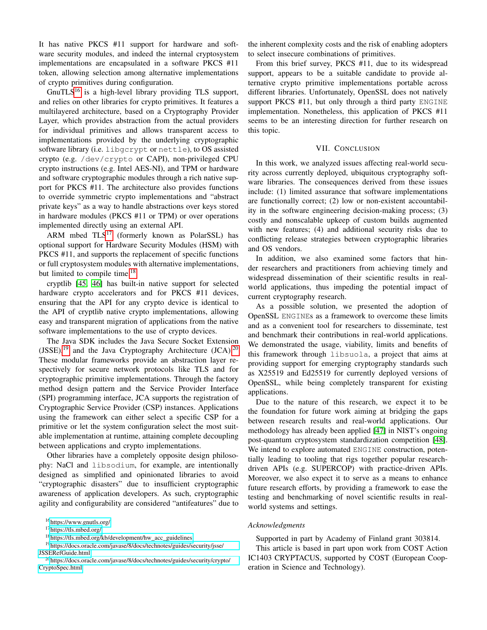It has native PKCS #11 support for hardware and software security modules, and indeed the internal cryptosystem implementations are encapsulated in a software PKCS #11 token, allowing selection among alternative implementations of crypto primitives during configuration.

 $GnuTLS<sup>16</sup>$  $GnuTLS<sup>16</sup>$  $GnuTLS<sup>16</sup>$  is a high-level library providing TLS support, and relies on other libraries for crypto primitives. It features a multilayered architecture, based on a Cryptography Provider Layer, which provides abstraction from the actual providers for individual primitives and allows transparent access to implementations provided by the underlying cryptographic software library (i.e. libgcrypt or nettle), to OS assisted crypto (e.g. /dev/crypto or CAPI), non-privileged CPU crypto instructions (e.g. Intel AES-NI), and TPM or hardware and software cryptographic modules through a rich native support for PKCS #11. The architecture also provides functions to override symmetric crypto implementations and "abstract private keys" as a way to handle abstractions over keys stored in hardware modules (PKCS #11 or TPM) or over operations implemented directly using an external API.

ARM mbed  $TLS^{17}$  $TLS^{17}$  $TLS^{17}$  (formerly known as PolarSSL) has optional support for Hardware Security Modules (HSM) with PKCS #11, and supports the replacement of specific functions or full cryptosystem modules with alternative implementations, but limited to compile time.<sup>[18](#page-12-3)</sup>

cryptlib [\[45,](#page-14-18) [46\]](#page-14-19) has built-in native support for selected hardware crypto accelerators and for PKCS #11 devices, ensuring that the API for any crypto device is identical to the API of cryptlib native crypto implementations, allowing easy and transparent migration of applications from the native software implementations to the use of crypto devices.

The Java SDK includes the Java Secure Socket Extension  $(JSSE)$ ,<sup>[19](#page-12-4)</sup> and the Java Cryptography Architecture  $(JCA)$ .<sup>[20](#page-12-5)</sup> These modular frameworks provide an abstraction layer respectively for secure network protocols like TLS and for cryptographic primitive implementations. Through the factory method design pattern and the Service Provider Interface (SPI) programming interface, JCA supports the registration of Cryptographic Service Provider (CSP) instances. Applications using the framework can either select a specific CSP for a primitive or let the system configuration select the most suitable implementation at runtime, attaining complete decoupling between applications and crypto implementations.

Other libraries have a completely opposite design philosophy: NaCl and libsodium, for example, are intentionally designed as simplified and opinionated libraries to avoid "cryptographic disasters" due to insufficient cryptographic awareness of application developers. As such, cryptographic agility and configurability are considered "antifeatures" due to

the inherent complexity costs and the risk of enabling adopters to select insecure combinations of primitives.

From this brief survey, PKCS #11, due to its widespread support, appears to be a suitable candidate to provide alternative crypto primitive implementations portable across different libraries. Unfortunately, OpenSSL does not natively support PKCS #11, but only through a third party ENGINE implementation. Nonetheless, this application of PKCS #11 seems to be an interesting direction for further research on this topic.

## VII. CONCLUSION

<span id="page-12-0"></span>In this work, we analyzed issues affecting real-world security across currently deployed, ubiquitous cryptography software libraries. The consequences derived from these issues include: (1) limited assurance that software implementations are functionally correct; (2) low or non-existent accountability in the software engineering decision-making process; (3) costly and nonscalable upkeep of custom builds augmented with new features; (4) and additional security risks due to conflicting release strategies between cryptographic libraries and OS vendors.

In addition, we also examined some factors that hinder researchers and practitioners from achieving timely and widespread dissemination of their scientific results in realworld applications, thus impeding the potential impact of current cryptography research.

As a possible solution, we presented the adoption of OpenSSL ENGINEs as a framework to overcome these limits and as a convenient tool for researchers to disseminate, test and benchmark their contributions in real-world applications. We demonstrated the usage, viability, limits and benefits of this framework through libsuola, a project that aims at providing support for emerging cryptography standards such as X25519 and Ed25519 for currently deployed versions of OpenSSL, while being completely transparent for existing applications.

Due to the nature of this research, we expect it to be the foundation for future work aiming at bridging the gaps between research results and real-world applications. Our methodology has already been applied [\[47\]](#page-14-20) in NIST's ongoing post-quantum cryptosystem standardization competition [\[48\]](#page-14-21). We intend to explore automated ENGINE construction, potentially leading to tooling that rigs together popular researchdriven APIs (e.g. SUPERCOP) with practice-driven APIs. Moreover, we also expect it to serve as a means to enhance future research efforts, by providing a framework to ease the testing and benchmarking of novel scientific results in realworld systems and settings.

## *Acknowledgments*

Supported in part by Academy of Finland grant 303814. This article is based in part upon work from COST Action IC1403 CRYPTACUS, supported by COST (European Cooperation in Science and Technology).

<span id="page-12-1"></span><sup>16</sup><https://www.gnutls.org/>

<span id="page-12-2"></span><sup>17</sup><https://tls.mbed.org/>

<span id="page-12-4"></span><span id="page-12-3"></span><sup>18</sup>[https://tls.mbed.org/kb/development/hw\\_acc\\_guidelines](https://tls.mbed.org/kb/development/hw_acc_guidelines)

<sup>19</sup>[https://docs.oracle.com/javase/8/docs/technotes/guides/security/jsse/](https://docs.oracle.com/javase/8/docs/technotes/guides/security/jsse/JSSERefGuide.html) [JSSERefGuide.html](https://docs.oracle.com/javase/8/docs/technotes/guides/security/jsse/JSSERefGuide.html)

<span id="page-12-5"></span><sup>20</sup>[https://docs.oracle.com/javase/8/docs/technotes/guides/security/crypto/](https://docs.oracle.com/javase/8/docs/technotes/guides/security/crypto/CryptoSpec.html) [CryptoSpec.html](https://docs.oracle.com/javase/8/docs/technotes/guides/security/crypto/CryptoSpec.html)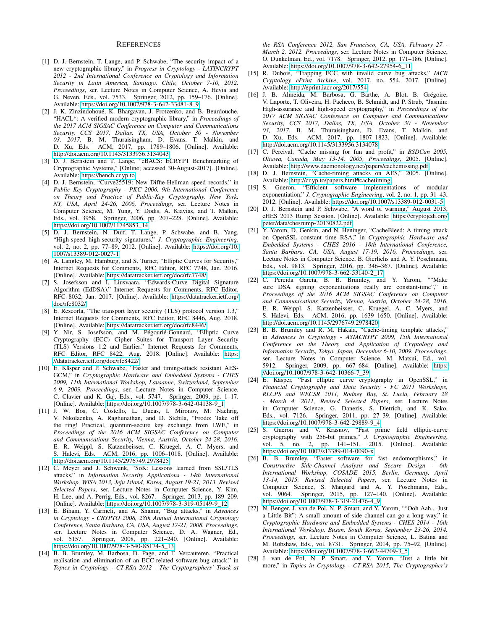#### **REFERENCES**

- <span id="page-13-0"></span>[1] D. J. Bernstein, T. Lange, and P. Schwabe, "The security impact of a new cryptographic library," in *Progress in Cryptology - LATINCRYPT 2012 - 2nd International Conference on Cryptology and Information Security in Latin America, Santiago, Chile, October 7-10, 2012. Proceedings*, ser. Lecture Notes in Computer Science, A. Hevia and G. Neven, Eds., vol. 7533. Springer, 2012, pp. 159–176. [Online]. Available: [https://doi.org/10.1007/978-3-642-33481-8\\_9](https://doi.org/10.1007/978-3-642-33481-8_9)
- <span id="page-13-1"></span>[2] J. K. Zinzindohoué, K. Bhargavan, J. Protzenko, and B. Beurdouche, "HACL\*: A verified modern cryptographic library," in *Proceedings of the 2017 ACM SIGSAC Conference on Computer and Communications Security, CCS 2017, Dallas, TX, USA, October 30 - November 03, 2017*, B. M. Thuraisingham, D. Evans, T. Malkin, and D. Xu, Eds. ACM, 2017, pp. 1789–1806. [Online]. Available: <http://doi.acm.org/10.1145/3133956.3134043>
- <span id="page-13-2"></span>[3] D. J. Bernstein and T. Lange, "eBACS: ECRYPT Benchmarking of Cryptographic Systems," [Online; accessed 30-August-2017]. [Online]. Available:<https://bench.cr.yp.to>
- <span id="page-13-3"></span>[4] D. J. Bernstein, "Curve25519: New Diffie-Hellman speed records," in *Public Key Cryptography - PKC 2006, 9th International Conference on Theory and Practice of Public-Key Cryptography, New York, NY, USA, April 24-26, 2006, Proceedings*, ser. Lecture Notes in Computer Science, M. Yung, Y. Dodis, A. Kiayias, and T. Malkin, Eds., vol. 3958. Springer, 2006, pp. 207–228. [Online]. Available: [https://doi.org/10.1007/11745853\\_14](https://doi.org/10.1007/11745853_14)
- <span id="page-13-4"></span>[5] D. J. Bernstein, N. Duif, T. Lange, P. Schwabe, and B. Yang, "High-speed high-security signatures," *J. Cryptographic Engineering*, vol. 2, no. 2, pp. 77–89, 2012. [Online]. Available: [https://doi.org/10.](https://doi.org/10.1007/s13389-012-0027-1) [1007/s13389-012-0027-1](https://doi.org/10.1007/s13389-012-0027-1)
- <span id="page-13-5"></span>[6] A. Langley, M. Hamburg, and S. Turner, "Elliptic Curves for Security," Internet Requests for Comments, RFC Editor, RFC 7748, Jan. 2016. [Online]. Available:<https://datatracker.ietf.org/doc/rfc7748/>
- <span id="page-13-6"></span>[7] S. Josefsson and I. Liusvaara, "Edwards-Curve Digital Signature Algorithm (EdDSA)," Internet Requests for Comments, RFC Editor, RFC 8032, Jan. 2017. [Online]. Available: [https://datatracker.ietf.org/](https://datatracker.ietf.org/doc/rfc8032/) [doc/rfc8032/](https://datatracker.ietf.org/doc/rfc8032/)
- <span id="page-13-7"></span>[8] E. Rescorla, "The transport layer security (TLS) protocol version 1.3," Internet Requests for Comments, RFC Editor, RFC 8446, Aug. 2018. [Online]. Available:<https://datatracker.ietf.org/doc/rfc8446/>
- <span id="page-13-8"></span>[9] Y. Nir, S. Josefsson, and M. Pégourié-Gonnard, "Elliptic Curve Cryptography (ECC) Cipher Suites for Transport Layer Security (TLS) Versions 1.2 and Earlier," Internet Requests for Comments, RFC Editor, RFC 8422, Aug. 2018. [Online]. Available: [https:](https://datatracker.ietf.org/doc/rfc8422/) [//datatracker.ietf.org/doc/rfc8422/](https://datatracker.ietf.org/doc/rfc8422/)
- <span id="page-13-9"></span>[10] E. Käsper and P. Schwabe, "Faster and timing-attack resistant AES-GCM," in *Cryptographic Hardware and Embedded Systems - CHES 2009, 11th International Workshop, Lausanne, Switzerland, September 6-9, 2009, Proceedings*, ser. Lecture Notes in Computer Science, C. Clavier and K. Gaj, Eds., vol. 5747. Springer, 2009, pp. 1–17. [Online]. Available: [https://doi.org/10.1007/978-3-642-04138-9\\_1](https://doi.org/10.1007/978-3-642-04138-9_1)
- <span id="page-13-10"></span>[11] J. W. Bos, C. Costello, L. Ducas, I. Mironov, M. Naehrig, V. Nikolaenko, A. Raghunathan, and D. Stebila, "Frodo: Take off the ring! Practical, quantum-secure key exchange from LWE," in *Proceedings of the 2016 ACM SIGSAC Conference on Computer and Communications Security, Vienna, Austria, October 24-28, 2016*, E. R. Weippl, S. Katzenbeisser, C. Kruegel, A. C. Myers, and S. Halevi, Eds. ACM, 2016, pp. 1006–1018. [Online]. Available: <http://doi.acm.org/10.1145/2976749.2978425>
- <span id="page-13-11"></span>[12] C. Meyer and J. Schwenk, "SoK: Lessons learned from SSL/TLS attacks," in *Information Security Applications - 14th International Workshop, WISA 2013, Jeju Island, Korea, August 19-21, 2013, Revised Selected Papers*, ser. Lecture Notes in Computer Science, Y. Kim, H. Lee, and A. Perrig, Eds., vol. 8267. Springer, 2013, pp. 189–209. [Online]. Available: [https://doi.org/10.1007/978-3-319-05149-9\\_12](https://doi.org/10.1007/978-3-319-05149-9_12)
- <span id="page-13-12"></span>[13] E. Biham, Y. Carmeli, and A. Shamir, "Bug attacks," in *Advances in Cryptology - CRYPTO 2008, 28th Annual International Cryptology Conference, Santa Barbara, CA, USA, August 17-21, 2008. Proceedings*, ser. Lecture Notes in Computer Science, D. A. Wagner, Ed., vol. 5157. Springer, 2008, pp. 221–240. [Online]. Available: [https://doi.org/10.1007/978-3-540-85174-5\\_13](https://doi.org/10.1007/978-3-540-85174-5_13)
- <span id="page-13-13"></span>[14] B. B. Brumley, M. Barbosa, D. Page, and F. Vercauteren, "Practical realisation and elimination of an ECC-related software bug attack," in *Topics in Cryptology - CT-RSA 2012 - The Cryptographers' Track at*

*the RSA Conference 2012, San Francisco, CA, USA, February 27 - March 2, 2012. Proceedings*, ser. Lecture Notes in Computer Science, O. Dunkelman, Ed., vol. 7178. Springer, 2012, pp. 171–186. [Online]. Available: [https://doi.org/10.1007/978-3-642-27954-6\\_11](https://doi.org/10.1007/978-3-642-27954-6_11)

- <span id="page-13-14"></span>[15] R. Dubois, "Trapping ECC with invalid curve bug attacks," *IACR Cryptology ePrint Archive*, vol. 2017, no. 554, 2017. [Online]. Available:<http://eprint.iacr.org/2017/554>
- <span id="page-13-15"></span>[16] J. B. Almeida, M. Barbosa, G. Barthe, A. Blot, B. Grégoire, V. Laporte, T. Oliveira, H. Pacheco, B. Schmidt, and P. Strub, "Jasmin: High-assurance and high-speed cryptography," in *Proceedings of the 2017 ACM SIGSAC Conference on Computer and Communications Security, CCS 2017, Dallas, TX, USA, October 30 - November 03, 2017*, B. M. Thuraisingham, D. Evans, T. Malkin, and D. Xu, Eds. ACM, 2017, pp. 1807–1823. [Online]. Available: <http://doi.acm.org/10.1145/3133956.3134078>
- <span id="page-13-16"></span>[17] C. Percival, "Cache missing for fun and profit," in *BSDCan 2005, Ottawa, Canada, May 13-14, 2005, Proceedings*, 2005. [Online]. Available:<http://www.daemonology.net/papers/cachemissing.pdf>
- <span id="page-13-17"></span>[18] D. J. Bernstein, "Cache-timing attacks on AES," 2005. [Online]. Available:<http://cr.yp.to/papers.html#cachetiming>
- <span id="page-13-18"></span>[19] S. Gueron, "Efficient software implementations of modular exponentiation," *J. Cryptographic Engineering*, vol. 2, no. 1, pp. 31–43, 2012. [Online]. Available:<https://doi.org/10.1007/s13389-012-0031-5>
- <span id="page-13-19"></span>[20] D. J. Bernstein and P. Schwabe, "A word of warning," August 2013, cHES 2013 Rump Session. [Online]. Available: [https://cryptojedi.org/](https://cryptojedi.org/peter/data/chesrump-20130822.pdf) [peter/data/chesrump-20130822.pdf](https://cryptojedi.org/peter/data/chesrump-20130822.pdf)
- <span id="page-13-20"></span>[21] Y. Yarom, D. Genkin, and N. Heninger, "CacheBleed: A timing attack on OpenSSL constant time RSA," in *Cryptographic Hardware and Embedded Systems - CHES 2016 - 18th International Conference, Santa Barbara, CA, USA, August 17-19, 2016, Proceedings*, ser. Lecture Notes in Computer Science, B. Gierlichs and A. Y. Poschmann, Eds., vol. 9813. Springer, 2016, pp. 346–367. [Online]. Available: [https://doi.org/10.1007/978-3-662-53140-2\\_17](https://doi.org/10.1007/978-3-662-53140-2_17)
- <span id="page-13-21"></span>[22] C. Pereida García, B. B. Brumley, and Y. Yarom, ""Make sure DSA signing exponentiations really are constant-time"," in *Proceedings of the 2016 ACM SIGSAC Conference on Computer and Communications Security, Vienna, Austria, October 24-28, 2016*, E. R. Weippl, S. Katzenbeisser, C. Kruegel, A. C. Myers, and S. Halevi, Eds. ACM, 2016, pp. 1639–1650. [Online]. Available: <http://doi.acm.org/10.1145/2976749.2978420>
- <span id="page-13-22"></span>[23] B. B. Brumley and R. M. Hakala, "Cache-timing template attacks," in *Advances in Cryptology - ASIACRYPT 2009, 15th International Conference on the Theory and Application of Cryptology and Information Security, Tokyo, Japan, December 6-10, 2009. Proceedings*, ser. Lecture Notes in Computer Science, M. Matsui, Ed., vol. 5912. Springer, 2009, pp. 667–684. [Online]. Available: [https:](https://doi.org/10.1007/978-3-642-10366-7_39) [//doi.org/10.1007/978-3-642-10366-7\\_39](https://doi.org/10.1007/978-3-642-10366-7_39)
- <span id="page-13-23"></span>[24] E. Käsper, "Fast elliptic curve cryptography in OpenSSL," in *Financial Cryptography and Data Security - FC 2011 Workshops, RLCPS and WECSR 2011, Rodney Bay, St. Lucia, February 28 - March 4, 2011, Revised Selected Papers*, ser. Lecture Notes in Computer Science, G. Danezis, S. Dietrich, and K. Sako, Eds., vol. 7126. Springer, 2011, pp. 27–39. [Online]. Available: [https://doi.org/10.1007/978-3-642-29889-9\\_4](https://doi.org/10.1007/978-3-642-29889-9_4)
- <span id="page-13-24"></span>[25] S. Gueron and V. Krasnov, "Fast prime field elliptic-curve cryptography with 256-bit primes," *J. Cryptographic Engineering*, vol. 5, no. 2, pp. 141–151, 2015. [Online]. Available: <https://doi.org/10.1007/s13389-014-0090-x>
- <span id="page-13-25"></span>[26] B. B. Brumley, "Faster software for fast endomorphisms," in *Constructive Side-Channel Analysis and Secure Design - 6th International Workshop, COSADE 2015, Berlin, Germany, April 13-14, 2015. Revised Selected Papers*, ser. Lecture Notes in Computer Science, S. Mangard and A. Y. Poschmann, Eds., vol. 9064. Springer, 2015, pp. 127–140. [Online]. Available: [https://doi.org/10.1007/978-3-319-21476-4\\_9](https://doi.org/10.1007/978-3-319-21476-4_9)
- <span id="page-13-26"></span>[27] N. Benger, J. van de Pol, N. P. Smart, and Y. Yarom, ""Ooh Aah... Just a Little Bit": A small amount of side channel can go a long way," in *Cryptographic Hardware and Embedded Systems - CHES 2014 - 16th International Workshop, Busan, South Korea, September 23-26, 2014. Proceedings*, ser. Lecture Notes in Computer Science, L. Batina and M. Robshaw, Eds., vol. 8731. Springer, 2014, pp. 75–92. [Online]. Available: [https://doi.org/10.1007/978-3-662-44709-3\\_5](https://doi.org/10.1007/978-3-662-44709-3_5)
- <span id="page-13-27"></span>[28] J. van de Pol, N. P. Smart, and Y. Yarom, "Just a little bit more," in *Topics in Cryptology - CT-RSA 2015, The Cryptographer's*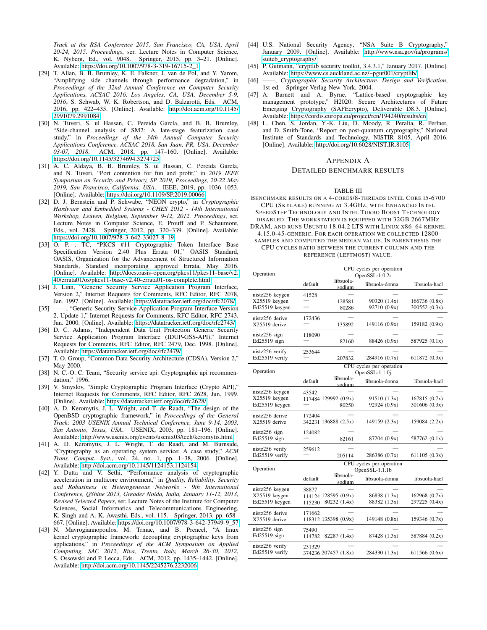*Track at the RSA Conference 2015, San Francisco, CA, USA, April 20-24, 2015. Proceedings*, ser. Lecture Notes in Computer Science, K. Nyberg, Ed., vol. 9048. Springer, 2015, pp. 3–21. [Online]. Available: [https://doi.org/10.1007/978-3-319-16715-2\\_1](https://doi.org/10.1007/978-3-319-16715-2_1)

- <span id="page-14-0"></span>[29] T. Allan, B. B. Brumley, K. E. Falkner, J. van de Pol, and Y. Yarom, "Amplifying side channels through performance degradation," in *Proceedings of the 32nd Annual Conference on Computer Security Applications, ACSAC 2016, Los Angeles, CA, USA, December 5-9, 2016*, S. Schwab, W. K. Robertson, and D. Balzarotti, Eds. ACM, 2016, pp. 422–435. [Online]. Available: [http://doi.acm.org/10.1145/](http://doi.acm.org/10.1145/2991079.2991084) [2991079.2991084](http://doi.acm.org/10.1145/2991079.2991084)
- <span id="page-14-1"></span>[30] N. Tuveri, S. ul Hassan, C. Pereida García, and B. B. Brumley, "Side-channel analysis of SM2: A late-stage featurization case study," in *Proceedings of the 34th Annual Computer Security Applications Conference, ACSAC 2018, San Juan, PR, USA, December 03-07, 2018*. ACM, 2018, pp. 147–160. [Online]. Available: <https://doi.org/10.1145/3274694.3274725>
- <span id="page-14-2"></span>[31] A. C. Aldaya, B. B. Brumley, S. ul Hassan, C. Pereida García, and N. Tuveri, "Port contention for fun and profit," in *2019 IEEE Symposium on Security and Privacy, SP 2019, Proceedings, 20-22 May 2019, San Francisco, California, USA*. IEEE, 2019, pp. 1036–1053. [Online]. Available:<https://doi.org/10.1109/SP.2019.00066>
- <span id="page-14-3"></span>[32] D. J. Bernstein and P. Schwabe, "NEON crypto," in *Cryptographic Hardware and Embedded Systems - CHES 2012 - 14th International Workshop, Leuven, Belgium, September 9-12, 2012. Proceedings*, ser. Lecture Notes in Computer Science, E. Prouff and P. Schaumont, Eds., vol. 7428. Springer, 2012, pp. 320–339. [Online]. Available: [https://doi.org/10.1007/978-3-642-33027-8\\_19](https://doi.org/10.1007/978-3-642-33027-8_19)
- <span id="page-14-6"></span>[33] O. P. . TC, "PKCS #11 Cryptographic Token Interface Base Specification Version 2.40 Plus Errata 01," OASIS Standard, OASIS, Organization for the Advancement of Structured Information Standards, Standard incorporating approved Errata, May 2016. [Online]. Available: [http://docs.oasis-open.org/pkcs11/pkcs11-base/v2.](http://docs.oasis-open.org/pkcs11/pkcs11-base/v2.40/errata01/os/pkcs11-base-v2.40-errata01-os-complete.html) [40/errata01/os/pkcs11-base-v2.40-errata01-os-complete.html](http://docs.oasis-open.org/pkcs11/pkcs11-base/v2.40/errata01/os/pkcs11-base-v2.40-errata01-os-complete.html)
- <span id="page-14-7"></span>[34] J. Linn, "Generic Security Service Application Program Interface, Version 2," Internet Requests for Comments, RFC Editor, RFC 2078, Jan. 1997. [Online]. Available:<https://datatracker.ietf.org/doc/rfc2078/>
- <span id="page-14-8"></span>[35] ——, "Generic Security Service Application Program Interface Version 2, Update 1," Internet Requests for Comments, RFC Editor, RFC 2743, Jan. 2000. [Online]. Available:<https://datatracker.ietf.org/doc/rfc2743/>
- <span id="page-14-9"></span>[36] D. C. Adams, "Independent Data Unit Protection Generic Security Service Application Program Interface (IDUP-GSS-API)," Internet Requests for Comments, RFC Editor, RFC 2479, Dec. 1998. [Online]. Available:<https://datatracker.ietf.org/doc/rfc2479/>
- <span id="page-14-10"></span>[37] T. O. Group, "Common Data Security Architecture (CDSA), Version 2," May 2000.
- <span id="page-14-11"></span>[38] N. C.-O. C. Team, "Security service api: Cryptographic api recommendation," 1996.
- <span id="page-14-12"></span>[39] V. Smyslov, "Simple Cryptographic Program Interface (Crypto API)," Internet Requests for Comments, RFC Editor, RFC 2628, Jun. 1999. [Online]. Available:<https://datatracker.ietf.org/doc/rfc2628/>
- <span id="page-14-13"></span>[40] A. D. Keromytis, J. L. Wright, and T. de Raadt, "The design of the OpenBSD cryptographic framework," in *Proceedings of the General Track: 2003 USENIX Annual Technical Conference, June 9-14, 2003, San Antonio, Texas, USA*. USENIX, 2003, pp. 181–196. [Online]. Available:<http://www.usenix.org/events/usenix03/tech/keromytis.html>
- <span id="page-14-14"></span>[41] A. D. Keromytis, J. L. Wright, T. de Raadt, and M. Burnside, "Cryptography as an operating system service: A case study," *ACM Trans. Comput. Syst.*, vol. 24, no. 1, pp. 1–38, 2006. [Online]. Available:<http://doi.acm.org/10.1145/1124153.1124154>
- <span id="page-14-15"></span>[42] Y. Dutta and V. Sethi, "Performance analysis of cryptographic acceleration in multicore environment," in *Quality, Reliability, Security and Robustness in Heterogeneous Networks - 9th International Conference, QShine 2013, Greader Noida, India, January 11-12, 2013, Revised Selected Papers*, ser. Lecture Notes of the Institute for Computer Sciences, Social Informatics and Telecommunications Engineering, K. Singh and A. K. Awasthi, Eds., vol. 115. Springer, 2013, pp. 658– 667. [Online]. Available: [https://doi.org/10.1007/978-3-642-37949-9\\_57](https://doi.org/10.1007/978-3-642-37949-9_57)
- <span id="page-14-16"></span>[43] N. Mavrogiannopoulos, M. Trmac, and B. Preneel, "A linux kernel cryptographic framework: decoupling cryptographic keys from applications," in *Proceedings of the ACM Symposium on Applied Computing, SAC 2012, Riva, Trento, Italy, March 26-30, 2012*, S. Ossowski and P. Lecca, Eds. ACM, 2012, pp. 1435–1442. [Online]. Available:<http://doi.acm.org/10.1145/2245276.2232006>
- <span id="page-14-17"></span>[44] U.S. National Security Agency, "NSA Suite B Cryptography," January 2009. [Online]. Available: [http://www.nsa.gov/ia/programs/](http://www.nsa.gov/ia/programs/suiteb_cryptography/) suiteb cryptography/
- <span id="page-14-18"></span>[45] P. Gutmann, "cryptlib security toolkit, 3.4.3.1," January 2017. [Online]. Available:<https://www.cs.auckland.ac.nz/~pgut001/cryptlib/>
- <span id="page-14-19"></span>[46] ——, *Cryptographic Security Architecture. Design and Verification*, 1st ed. Springer-Verlag New York, 2004.
- <span id="page-14-20"></span>[47] A. Barnett and A. Byrne, "Lattice-based cryptographic key management prototype," H2020: Secure Architectures of Future Emerging Cryptography (SAFEcrypto), Deliverable D8.3. [Online]. Available:<https://cordis.europa.eu/project/rcn/194240/results/en>
- <span id="page-14-21"></span>[48] L. Chen, S. Jordan, Y.-K. Liu, D. Moody, R. Peralta, R. Perlner, and D. Smith-Tone, "Report on post-quantum cryptography," National Institute of Standards and Technology, NISTIR 8105, April 2016. [Online]. Available:<http://doi.org/10.6028/NIST.IR.8105>

#### <span id="page-14-4"></span>APPENDIX A

#### DETAILED BENCHMARK RESULTS

#### TABLE III

<span id="page-14-5"></span>BENCHMARK RESULTS ON A 4-CORES/8-THREADS INTEL CORE I5-6700 CPU (SKYLAKE) RUNNING AT 3.4GHZ, WITH ENHANCED INTEL SPEEDSTEP TECHNOLOGY AND INTEL TURBO BOOST TECHNOLOGY DISABLED. THE WORKSTATION IS EQUIPPED WITH 32GB 2667MHZ DRAM, AND RUNS UBUNTU 18.04.2 LTS WITH LINUX X86\_64 KERNEL

4.15.0-45-GENERIC. FOR EACH OPERATION WE COLLECTED 12800 SAMPLES AND COMPUTED THE MEDIAN VALUE. IN PARENTHESIS THE CPU CYCLES RATIO BETWEEN THE CURRENT COLUMN AND THE REFERENCE (LEFTMOST) VALUE.

| Operation                         | CPU cycles per operation<br>OpenSSL-1.0.2r |                               |                                            |                               |
|-----------------------------------|--------------------------------------------|-------------------------------|--------------------------------------------|-------------------------------|
|                                   | default                                    | libsuola-<br>sodium           | libsuola-donna                             | libsuola-hacl                 |
| nistz256 keygen                   | 41528                                      |                               |                                            |                               |
| X25519 keygen<br>Ed25519 keygen   |                                            | 128581<br>80286               | 90320 (1.4x)<br>92710 (0.9x)               | 166736(0.8x)<br>300552 (0.3x) |
| nistz256 derive<br>X25519 derive  | 172436                                     | 135892                        | 149116 (0.9x)                              | 159182 (0.9x)                 |
| nistz256 sign<br>Ed25519 sign     | 118090                                     | 82160                         | 88426 (0.9x)                               | 587925 (0.1x)                 |
| nistz256 verify<br>Ed25519 verify | 253644                                     | 207832                        | 284916 (0.7x)                              | 611872(0.3x)                  |
| Operation                         |                                            |                               | CPU cycles per operation<br>OpenSSL-1.1.0j |                               |
|                                   | default                                    | libsuola-<br>sodium           | libsuola-donna                             | libsuola-hacl                 |
| nistz256 keygen                   | 43542                                      |                               |                                            |                               |
| X25519 keygen<br>Ed25519 keygen   |                                            | 117484 129992 (0.9x)<br>80250 | 91510 (1.3x)<br>92924 (0.9x)               | 167815(0.7x)<br>301606 (0.3x) |
| nistz256 derive<br>X25519 derive  | 172404                                     | 342231 136888 (2.5x)          | 149159 (2.3x)                              | 159084 (2.2x)                 |
| nistz256 sign<br>Ed25519 sign     | 124082                                     | 82161                         | 87204 (0.9x)                               | 587762 (0.1x)                 |
| nistz256 verify<br>Ed25519 verify | 259612                                     | 205114                        | 286386 (0.7x)                              | 611105(0.3x)                  |
| Operation                         |                                            |                               | CPU cycles per operation<br>OpenSSL-1.1.1b |                               |
|                                   | default                                    | libsuola-<br>sodium           | libsuola-donna                             | libsuola-hacl                 |
| nistz256 keygen<br>X25519 keygen  | 38877                                      | 114124 128595 (0.9x)          | 86838 (1.3x)                               | 162968(0.7x)                  |
| Ed25519 keygen                    | 115230                                     | 80232 (1.4x)                  | 88382 (1.3x)                               | 297225 (0.4x)                 |
| nistz256 derive<br>X25519 derive  | 171662                                     | 118312 135398 (0.9x)          | 149148 (0.8x)                              | 159346 (0.7x)                 |
| nistz256 sign<br>Ed25519 sign     | 75490<br>114782                            | 82287 (1.4x)                  | 87428 (1.3x)                               | 587884 (0.2x)                 |
| nistz256 verify<br>Ed25519 verify | 231329                                     | 374236 207457 (1.8x)          | 284330 (1.3x)                              | 611566 (0.6x)                 |